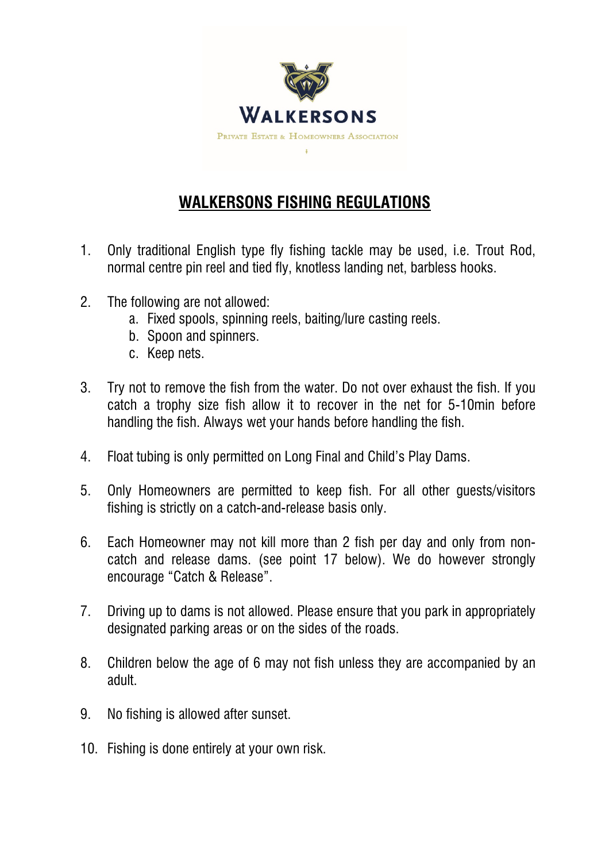

## **WALKERSONS FISHING REGULATIONS**

- 1. Only traditional English type fly fishing tackle may be used, i.e. Trout Rod, normal centre pin reel and tied fly, knotless landing net, barbless hooks.
- 2. The following are not allowed:
	- a. Fixed spools, spinning reels, baiting/lure casting reels.
	- b. Spoon and spinners.
	- c. Keep nets.
- 3. Try not to remove the fish from the water. Do not over exhaust the fish. If you catch a trophy size fish allow it to recover in the net for 5-10min before handling the fish. Always wet your hands before handling the fish.
- 4. Float tubing is only permitted on Long Final and Child's Play Dams.
- 5. Only Homeowners are permitted to keep fish. For all other guests/visitors fishing is strictly on a catch-and-release basis only.
- 6. Each Homeowner may not kill more than 2 fish per day and only from noncatch and release dams. (see point 17 below). We do however strongly encourage "Catch & Release".
- 7. Driving up to dams is not allowed. Please ensure that you park in appropriately designated parking areas or on the sides of the roads.
- 8. Children below the age of 6 may not fish unless they are accompanied by an adult.
- 9. No fishing is allowed after sunset.
- 10. Fishing is done entirely at your own risk.